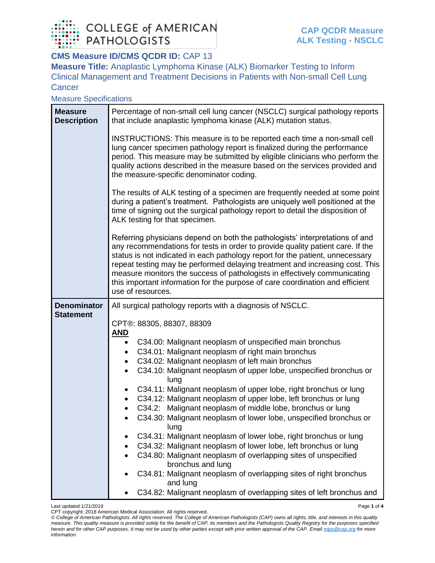

## **CMS Measure ID/CMS QCDR ID: CAP 13**

**Measure Title:** Anaplastic Lymphoma Kinase (ALK) Biomarker Testing to Inform Clinical Management and Treatment Decisions in Patients with Non-small Cell Lung **Cancer** 

Measure Specifications

| <b>Measure</b><br><b>Description</b> | Percentage of non-small cell lung cancer (NSCLC) surgical pathology reports<br>that include anaplastic lymphoma kinase (ALK) mutation status.                                                                                                                                                                                                                                                                                                                                                                      |
|--------------------------------------|--------------------------------------------------------------------------------------------------------------------------------------------------------------------------------------------------------------------------------------------------------------------------------------------------------------------------------------------------------------------------------------------------------------------------------------------------------------------------------------------------------------------|
|                                      | INSTRUCTIONS: This measure is to be reported each time a non-small cell<br>lung cancer specimen pathology report is finalized during the performance<br>period. This measure may be submitted by eligible clinicians who perform the<br>quality actions described in the measure based on the services provided and<br>the measure-specific denominator coding.                                                                                                                                                    |
|                                      | The results of ALK testing of a specimen are frequently needed at some point<br>during a patient's treatment. Pathologists are uniquely well positioned at the<br>time of signing out the surgical pathology report to detail the disposition of<br>ALK testing for that specimen.                                                                                                                                                                                                                                 |
|                                      | Referring physicians depend on both the pathologists' interpretations of and<br>any recommendations for tests in order to provide quality patient care. If the<br>status is not indicated in each pathology report for the patient, unnecessary<br>repeat testing may be performed delaying treatment and increasing cost. This<br>measure monitors the success of pathologists in effectively communicating<br>this important information for the purpose of care coordination and efficient<br>use of resources. |
| <b>Denominator</b>                   | All surgical pathology reports with a diagnosis of NSCLC.                                                                                                                                                                                                                                                                                                                                                                                                                                                          |
|                                      |                                                                                                                                                                                                                                                                                                                                                                                                                                                                                                                    |
| <b>Statement</b>                     |                                                                                                                                                                                                                                                                                                                                                                                                                                                                                                                    |
|                                      | CPT®: 88305, 88307, 88309<br><u>AND</u>                                                                                                                                                                                                                                                                                                                                                                                                                                                                            |
|                                      | C34.00: Malignant neoplasm of unspecified main bronchus<br>$\bullet$                                                                                                                                                                                                                                                                                                                                                                                                                                               |
|                                      | C34.01: Malignant neoplasm of right main bronchus                                                                                                                                                                                                                                                                                                                                                                                                                                                                  |
|                                      | C34.02: Malignant neoplasm of left main bronchus<br>٠                                                                                                                                                                                                                                                                                                                                                                                                                                                              |
|                                      | C34.10: Malignant neoplasm of upper lobe, unspecified bronchus or<br>lung                                                                                                                                                                                                                                                                                                                                                                                                                                          |
|                                      | C34.11: Malignant neoplasm of upper lobe, right bronchus or lung<br>$\bullet$                                                                                                                                                                                                                                                                                                                                                                                                                                      |
|                                      | C34.12: Malignant neoplasm of upper lobe, left bronchus or lung<br>٠                                                                                                                                                                                                                                                                                                                                                                                                                                               |
|                                      | C34.2: Malignant neoplasm of middle lobe, bronchus or lung                                                                                                                                                                                                                                                                                                                                                                                                                                                         |
|                                      | C34.30: Malignant neoplasm of lower lobe, unspecified bronchus or                                                                                                                                                                                                                                                                                                                                                                                                                                                  |
|                                      | lung<br>C34.31: Malignant neoplasm of lower lobe, right bronchus or lung                                                                                                                                                                                                                                                                                                                                                                                                                                           |
|                                      | C34.32: Malignant neoplasm of lower lobe, left bronchus or lung                                                                                                                                                                                                                                                                                                                                                                                                                                                    |
|                                      | C34.80: Malignant neoplasm of overlapping sites of unspecified                                                                                                                                                                                                                                                                                                                                                                                                                                                     |
|                                      | bronchus and lung<br>C34.81: Malignant neoplasm of overlapping sites of right bronchus<br>and lung                                                                                                                                                                                                                                                                                                                                                                                                                 |

Last updated:1/21/2019 Page **1** of **4**

CPT copyright: 2018 American Medical Association. All rights reserved.

*© College of American Pathologists. All rights reserved. The College of American Pathologists (CAP) owns all rights, title, and interests in this quality measure. This quality measure is provided solely for the benefit of CAP, its members and the Pathologists Quality Registry for the purposes specified herein and for other CAP purposes. It may not be used by other parties except with prior written approval of the CAP. Emai[l mips@cap.org](mailto:mips@cap.org) for more information.*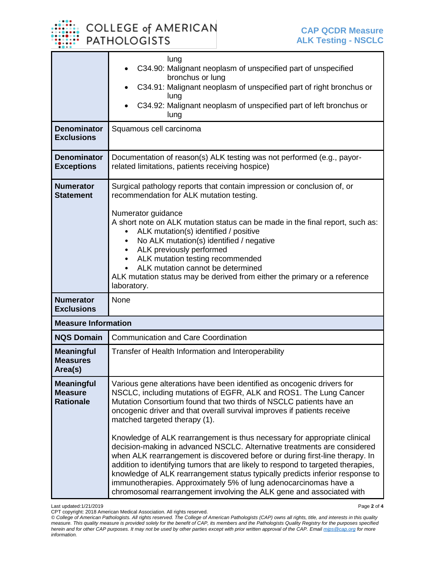## COLLEGE of AMERICAN **PATHOLOGISTS**

|                                                         | lung<br>C34.90: Malignant neoplasm of unspecified part of unspecified<br>bronchus or lung<br>C34.91: Malignant neoplasm of unspecified part of right bronchus or<br>lung<br>C34.92: Malignant neoplasm of unspecified part of left bronchus or<br>lung                                                                                                                                                                                                                                                                                                                                                                                                                                                                                                                                                           |
|---------------------------------------------------------|------------------------------------------------------------------------------------------------------------------------------------------------------------------------------------------------------------------------------------------------------------------------------------------------------------------------------------------------------------------------------------------------------------------------------------------------------------------------------------------------------------------------------------------------------------------------------------------------------------------------------------------------------------------------------------------------------------------------------------------------------------------------------------------------------------------|
| <b>Denominator</b><br><b>Exclusions</b>                 | Squamous cell carcinoma                                                                                                                                                                                                                                                                                                                                                                                                                                                                                                                                                                                                                                                                                                                                                                                          |
| <b>Denominator</b><br><b>Exceptions</b>                 | Documentation of reason(s) ALK testing was not performed (e.g., payor-<br>related limitations, patients receiving hospice)                                                                                                                                                                                                                                                                                                                                                                                                                                                                                                                                                                                                                                                                                       |
| <b>Numerator</b><br><b>Statement</b>                    | Surgical pathology reports that contain impression or conclusion of, or<br>recommendation for ALK mutation testing.<br>Numerator guidance<br>A short note on ALK mutation status can be made in the final report, such as:<br>ALK mutation(s) identified / positive<br>No ALK mutation(s) identified / negative<br>ALK previously performed<br>$\bullet$<br>ALK mutation testing recommended<br>ALK mutation cannot be determined<br>ALK mutation status may be derived from either the primary or a reference<br>laboratory.                                                                                                                                                                                                                                                                                    |
| <b>Numerator</b><br><b>Exclusions</b>                   | None                                                                                                                                                                                                                                                                                                                                                                                                                                                                                                                                                                                                                                                                                                                                                                                                             |
| <b>Measure Information</b>                              |                                                                                                                                                                                                                                                                                                                                                                                                                                                                                                                                                                                                                                                                                                                                                                                                                  |
| <b>NQS Domain</b>                                       | <b>Communication and Care Coordination</b>                                                                                                                                                                                                                                                                                                                                                                                                                                                                                                                                                                                                                                                                                                                                                                       |
| <b>Meaningful</b><br><b>Measures</b><br>Area(s)         | Transfer of Health Information and Interoperability                                                                                                                                                                                                                                                                                                                                                                                                                                                                                                                                                                                                                                                                                                                                                              |
| <b>Meaningful</b><br><b>Measure</b><br><b>Rationale</b> | Various gene alterations have been identified as oncogenic drivers for<br>NSCLC, including mutations of EGFR, ALK and ROS1. The Lung Cancer<br>Mutation Consortium found that two thirds of NSCLC patients have an<br>oncogenic driver and that overall survival improves if patients receive<br>matched targeted therapy (1).<br>Knowledge of ALK rearrangement is thus necessary for appropriate clinical<br>decision-making in advanced NSCLC. Alternative treatments are considered<br>when ALK rearrangement is discovered before or during first-line therapy. In<br>addition to identifying tumors that are likely to respond to targeted therapies,<br>knowledge of ALK rearrangement status typically predicts inferior response to<br>immunotherapies. Approximately 5% of lung adenocarcinomas have a |

Last updated:1/21/2019 Page **2** of **4**

CPT copyright: 2018 American Medical Association. All rights reserved.

*© College of American Pathologists. All rights reserved. The College of American Pathologists (CAP) owns all rights, title, and interests in this quality measure. This quality measure is provided solely for the benefit of CAP, its members and the Pathologists Quality Registry for the purposes specified herein and for other CAP purposes. It may not be used by other parties except with prior written approval of the CAP. Emai[l mips@cap.org](mailto:mips@cap.org) for more information.*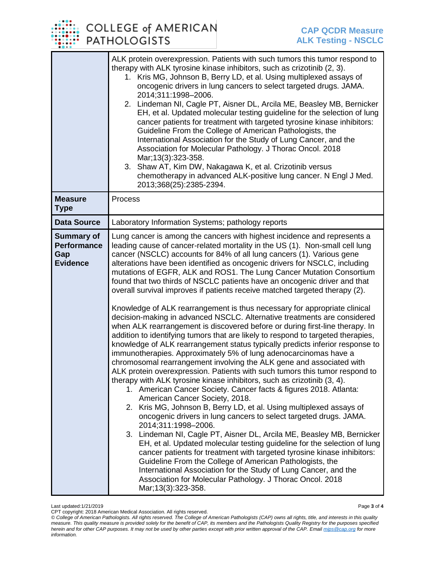## COLLEGE of AMERICAN **PATHOLOGISTS**

|                                                                   | ALK protein overexpression. Patients with such tumors this tumor respond to<br>therapy with ALK tyrosine kinase inhibitors, such as crizotinib (2, 3).<br>1. Kris MG, Johnson B, Berry LD, et al. Using multiplexed assays of<br>oncogenic drivers in lung cancers to select targeted drugs. JAMA.<br>2014;311:1998-2006.<br>2. Lindeman NI, Cagle PT, Aisner DL, Arcila ME, Beasley MB, Bernicker<br>EH, et al. Updated molecular testing guideline for the selection of lung<br>cancer patients for treatment with targeted tyrosine kinase inhibitors:<br>Guideline From the College of American Pathologists, the<br>International Association for the Study of Lung Cancer, and the<br>Association for Molecular Pathology. J Thorac Oncol. 2018<br>Mar; 13(3): 323-358.<br>3. Shaw AT, Kim DW, Nakagawa K, et al. Crizotinib versus<br>chemotherapy in advanced ALK-positive lung cancer. N Engl J Med.<br>2013;368(25):2385-2394.                                                                                                                                                                                                                                                                                                                                                                                                                                                                                                                                                                                                                                                                                                                                                                                                                                                                                                                                                                                                                                                              |
|-------------------------------------------------------------------|-------------------------------------------------------------------------------------------------------------------------------------------------------------------------------------------------------------------------------------------------------------------------------------------------------------------------------------------------------------------------------------------------------------------------------------------------------------------------------------------------------------------------------------------------------------------------------------------------------------------------------------------------------------------------------------------------------------------------------------------------------------------------------------------------------------------------------------------------------------------------------------------------------------------------------------------------------------------------------------------------------------------------------------------------------------------------------------------------------------------------------------------------------------------------------------------------------------------------------------------------------------------------------------------------------------------------------------------------------------------------------------------------------------------------------------------------------------------------------------------------------------------------------------------------------------------------------------------------------------------------------------------------------------------------------------------------------------------------------------------------------------------------------------------------------------------------------------------------------------------------------------------------------------------------------------------------------------------------------------------------------|
| <b>Measure</b><br><b>Type</b>                                     | Process                                                                                                                                                                                                                                                                                                                                                                                                                                                                                                                                                                                                                                                                                                                                                                                                                                                                                                                                                                                                                                                                                                                                                                                                                                                                                                                                                                                                                                                                                                                                                                                                                                                                                                                                                                                                                                                                                                                                                                                               |
| <b>Data Source</b>                                                | Laboratory Information Systems; pathology reports                                                                                                                                                                                                                                                                                                                                                                                                                                                                                                                                                                                                                                                                                                                                                                                                                                                                                                                                                                                                                                                                                                                                                                                                                                                                                                                                                                                                                                                                                                                                                                                                                                                                                                                                                                                                                                                                                                                                                     |
| <b>Summary of</b><br><b>Performance</b><br>Gap<br><b>Evidence</b> | Lung cancer is among the cancers with highest incidence and represents a<br>leading cause of cancer-related mortality in the US (1). Non-small cell lung<br>cancer (NSCLC) accounts for 84% of all lung cancers (1). Various gene<br>alterations have been identified as oncogenic drivers for NSCLC, including<br>mutations of EGFR, ALK and ROS1. The Lung Cancer Mutation Consortium<br>found that two thirds of NSCLC patients have an oncogenic driver and that<br>overall survival improves if patients receive matched targeted therapy (2).<br>Knowledge of ALK rearrangement is thus necessary for appropriate clinical<br>decision-making in advanced NSCLC. Alternative treatments are considered<br>when ALK rearrangement is discovered before or during first-line therapy. In<br>addition to identifying tumors that are likely to respond to targeted therapies,<br>knowledge of ALK rearrangement status typically predicts inferior response to<br>immunotherapies. Approximately 5% of lung adenocarcinomas have a<br>chromosomal rearrangement involving the ALK gene and associated with<br>ALK protein overexpression. Patients with such tumors this tumor respond to<br>therapy with ALK tyrosine kinase inhibitors, such as crizotinib (3, 4).<br>1. American Cancer Society. Cancer facts & figures 2018. Atlanta:<br>American Cancer Society, 2018.<br>2. Kris MG, Johnson B, Berry LD, et al. Using multiplexed assays of<br>oncogenic drivers in lung cancers to select targeted drugs. JAMA.<br>2014;311:1998-2006.<br>3. Lindeman NI, Cagle PT, Aisner DL, Arcila ME, Beasley MB, Bernicker<br>EH, et al. Updated molecular testing guideline for the selection of lung<br>cancer patients for treatment with targeted tyrosine kinase inhibitors:<br>Guideline From the College of American Pathologists, the<br>International Association for the Study of Lung Cancer, and the<br>Association for Molecular Pathology. J Thorac Oncol. 2018<br>Mar; 13(3): 323-358. |

Last updated:1/21/2019 Page **3** of **4**

CPT copyright: 2018 American Medical Association. All rights reserved.

*<sup>©</sup> College of American Pathologists. All rights reserved. The College of American Pathologists (CAP) owns all rights, title, and interests in this quality measure. This quality measure is provided solely for the benefit of CAP, its members and the Pathologists Quality Registry for the purposes specified herein and for other CAP purposes. It may not be used by other parties except with prior written approval of the CAP. Emai[l mips@cap.org](mailto:mips@cap.org) for more information.*